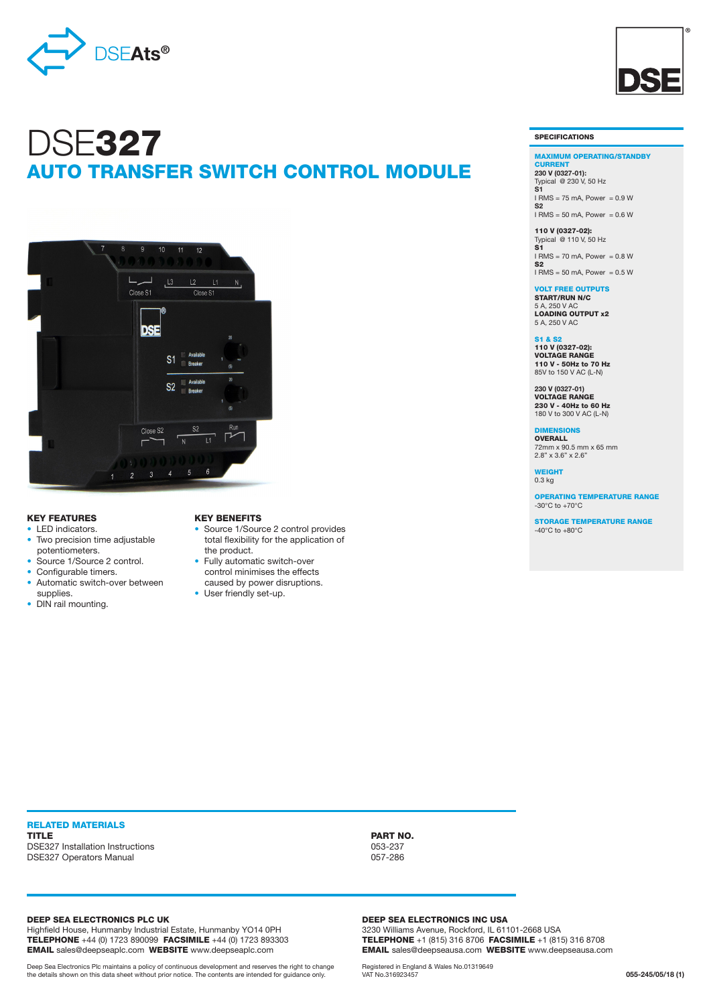



# DSE327 AUTO TRANSFER SWITCH CONTROL MODULE



## KEY FEATURES

- LED indicators.
- Two precision time adjustable potentiometers.
- Source 1/Source 2 control. • Configurable timers.
- Automatic switch-over between
- supplies.
- DIN rail mounting.

# KEY BENEFITS

- Source 1/Source 2 control provides total flexibility for the application of the product.
- Fully automatic switch-over control minimises the effects caused by power disruptions.
- User friendly set-up.

SPECIFICATIONS

#### MAXIMUM OPERATING/STANDBY **CURRENT 230 V (0327-01):**

Typical @ 230 V, 50 Hz **S1**  $I$  RMS = 75 mA, Power = 0.9 W **S2**  $I$  RMS = 50 mA, Power = 0.6 W

110 V (0327-02): Typical @ 110 V, 50 Hz S1 I RMS = 70 mA, Power = 0.8 W S2

 $I$  RMS = 50 mA, Power = 0.5 W

#### VOLT FREE OUTPUTS START/RUN N/C

5 A, 250 V AC LOADING OUTPUT x2 5 A, 250 V AC

#### S1 & S2 110 V (0327-02): VOLTAGE RANGE

110 V - 50Hz to 70 Hz 85V to 150 V AC (L-N)

**230 V (0327-01)** VOLTAGE RANGE 230 V - 40Hz to 60 Hz 180 V to 300 V AC (L-N)

DIMENSIONS **OVERALL** 72mm x 90.5 mm x 65 mm 2.8" x 3.6" x 2.6"

**WEIGHT** 0.3 kg

OPERATING TEMPERATURE RANGE -30°C to +70°C

STORAGE TEMPERATURE RANGE<br>-40°C to +80°C

# RELATED MATERIALS TITLE PART NO.

DSE327 Installation Instructions 053-237 DSE327 Operators Manual

#### DEEP SEA ELECTRONICS PLC UK

Highfield House, Hunmanby Industrial Estate, Hunmanby YO14 0PH TELEPHONE +44 (0) 1723 890099 FACSIMILE +44 (0) 1723 893303 EMAIL sales@deepseaplc.com WEBSITE www.deepseaplc.com

Deep Sea Electronics Plc maintains a policy of continuous development and reserves the right to change the details shown on this data sheet without prior notice. The contents are intended for guidance only.

## DEEP SEA ELECTRONICS INC USA

3230 Williams Avenue, Rockford, IL 61101-2668 USA TELEPHONE +1 (815) 316 8706 FACSIMILE +1 (815) 316 8708 EMAIL sales@deepseausa.com WEBSITE www.deepseausa.com

Registered in England & Wales No.01319649 VAT No.316923457